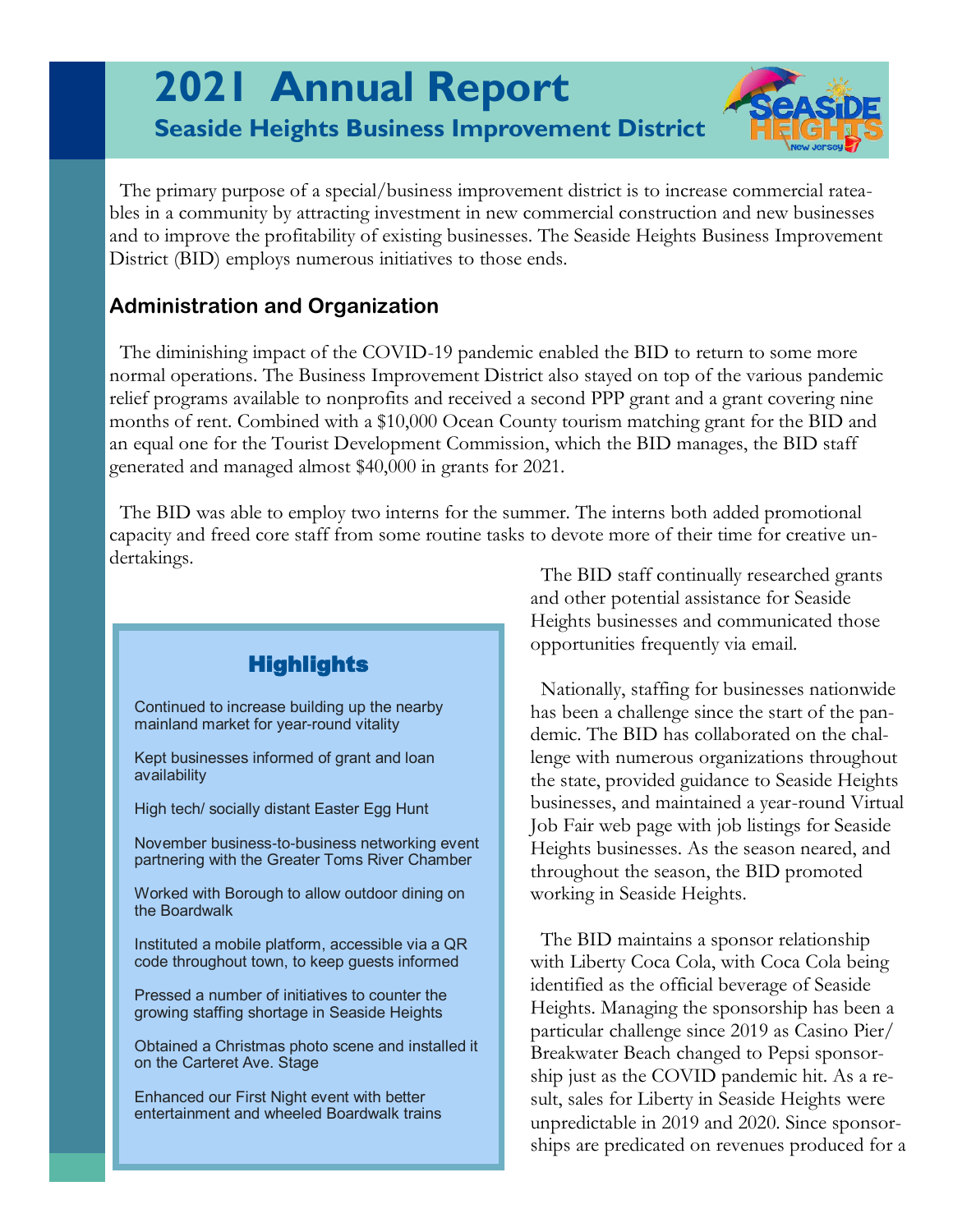# **2021 Annual Report Seaside Heights Business Improvement District**



 The primary purpose of a special/business improvement district is to increase commercial rateables in a community by attracting investment in new commercial construction and new businesses and to improve the profitability of existing businesses. The Seaside Heights Business Improvement District (BID) employs numerous initiatives to those ends.

### **Administration and Organization**

 The diminishing impact of the COVID-19 pandemic enabled the BID to return to some more normal operations. The Business Improvement District also stayed on top of the various pandemic relief programs available to nonprofits and received a second PPP grant and a grant covering nine months of rent. Combined with a \$10,000 Ocean County tourism matching grant for the BID and an equal one for the Tourist Development Commission, which the BID manages, the BID staff generated and managed almost \$40,000 in grants for 2021.

 The BID was able to employ two interns for the summer. The interns both added promotional capacity and freed core staff from some routine tasks to devote more of their time for creative undertakings.



 The BID staff continually researched grants and other potential assistance for Seaside Heights businesses and communicated those opportunities frequently via email.

 Nationally, staffing for businesses nationwide has been a challenge since the start of the pandemic. The BID has collaborated on the challenge with numerous organizations throughout the state, provided guidance to Seaside Heights businesses, and maintained a year-round Virtual Job Fair web page with job listings for Seaside Heights businesses. As the season neared, and throughout the season, the BID promoted working in Seaside Heights.

 The BID maintains a sponsor relationship with Liberty Coca Cola, with Coca Cola being identified as the official beverage of Seaside Heights. Managing the sponsorship has been a particular challenge since 2019 as Casino Pier/ Breakwater Beach changed to Pepsi sponsorship just as the COVID pandemic hit. As a result, sales for Liberty in Seaside Heights were unpredictable in 2019 and 2020. Since sponsorships are predicated on revenues produced for a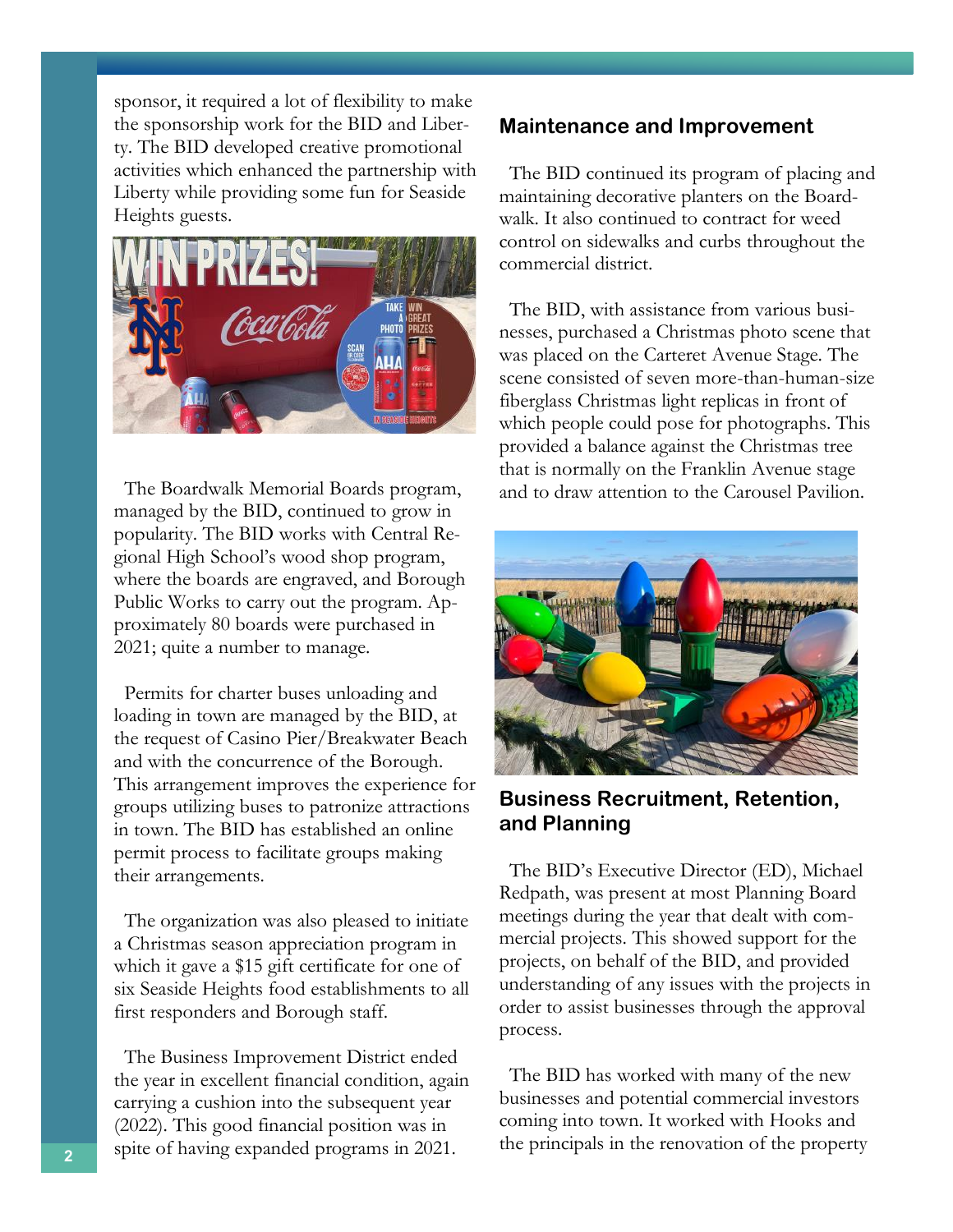sponsor, it required a lot of flexibility to make the sponsorship work for the BID and Liberty. The BID developed creative promotional activities which enhanced the partnership with Liberty while providing some fun for Seaside Heights guests.



 The Boardwalk Memorial Boards program, managed by the BID, continued to grow in popularity. The BID works with Central Regional High School's wood shop program, where the boards are engraved, and Borough Public Works to carry out the program. Approximately 80 boards were purchased in 2021; quite a number to manage.

 Permits for charter buses unloading and loading in town are managed by the BID, at the request of Casino Pier/Breakwater Beach and with the concurrence of the Borough. This arrangement improves the experience for groups utilizing buses to patronize attractions in town. The BID has established an online permit process to facilitate groups making their arrangements.

 The organization was also pleased to initiate a Christmas season appreciation program in which it gave a \$15 gift certificate for one of six Seaside Heights food establishments to all first responders and Borough staff.

 The Business Improvement District ended the year in excellent financial condition, again carrying a cushion into the subsequent year (2022). This good financial position was in spite of having expanded programs in 2021.

#### **Maintenance and Improvement**

 The BID continued its program of placing and maintaining decorative planters on the Boardwalk. It also continued to contract for weed control on sidewalks and curbs throughout the commercial district.

 The BID, with assistance from various businesses, purchased a Christmas photo scene that was placed on the Carteret Avenue Stage. The scene consisted of seven more-than-human-size fiberglass Christmas light replicas in front of which people could pose for photographs. This provided a balance against the Christmas tree that is normally on the Franklin Avenue stage and to draw attention to the Carousel Pavilion.



**Business Recruitment, Retention, and Planning**

 The BID's Executive Director (ED), Michael Redpath, was present at most Planning Board meetings during the year that dealt with commercial projects. This showed support for the projects, on behalf of the BID, and provided understanding of any issues with the projects in order to assist businesses through the approval process.

 The BID has worked with many of the new businesses and potential commercial investors coming into town. It worked with Hooks and the principals in the renovation of the property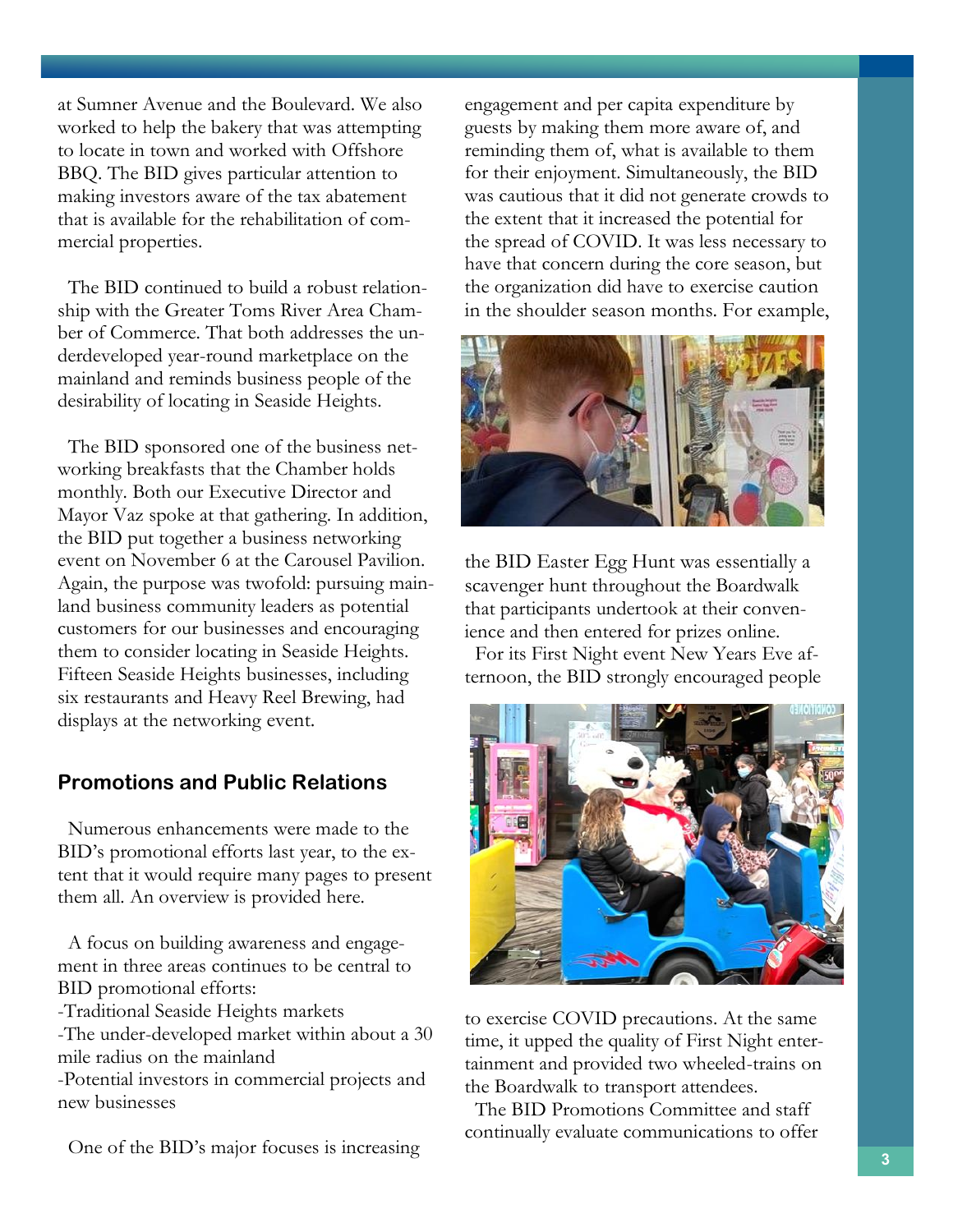at Sumner Avenue and the Boulevard. We also worked to help the bakery that was attempting to locate in town and worked with Offshore BBQ. The BID gives particular attention to making investors aware of the tax abatement that is available for the rehabilitation of commercial properties.

 The BID continued to build a robust relationship with the Greater Toms River Area Chamber of Commerce. That both addresses the underdeveloped year-round marketplace on the mainland and reminds business people of the desirability of locating in Seaside Heights.

 The BID sponsored one of the business networking breakfasts that the Chamber holds monthly. Both our Executive Director and Mayor Vaz spoke at that gathering. In addition, the BID put together a business networking event on November 6 at the Carousel Pavilion. Again, the purpose was twofold: pursuing mainland business community leaders as potential customers for our businesses and encouraging them to consider locating in Seaside Heights. Fifteen Seaside Heights businesses, including six restaurants and Heavy Reel Brewing, had displays at the networking event.

#### **Promotions and Public Relations**

 Numerous enhancements were made to the BID's promotional efforts last year, to the extent that it would require many pages to present them all. An overview is provided here.

 A focus on building awareness and engagement in three areas continues to be central to BID promotional efforts:

-Traditional Seaside Heights markets

-The under-developed market within about a 30 mile radius on the mainland

-Potential investors in commercial projects and new businesses

One of the BID's major focuses is increasing

engagement and per capita expenditure by guests by making them more aware of, and reminding them of, what is available to them for their enjoyment. Simultaneously, the BID was cautious that it did not generate crowds to the extent that it increased the potential for the spread of COVID. It was less necessary to have that concern during the core season, but the organization did have to exercise caution in the shoulder season months. For example,



the BID Easter Egg Hunt was essentially a scavenger hunt throughout the Boardwalk that participants undertook at their convenience and then entered for prizes online.

 For its First Night event New Years Eve afternoon, the BID strongly encouraged people



to exercise COVID precautions. At the same time, it upped the quality of First Night entertainment and provided two wheeled-trains on the Boardwalk to transport attendees.

 The BID Promotions Committee and staff continually evaluate communications to offer